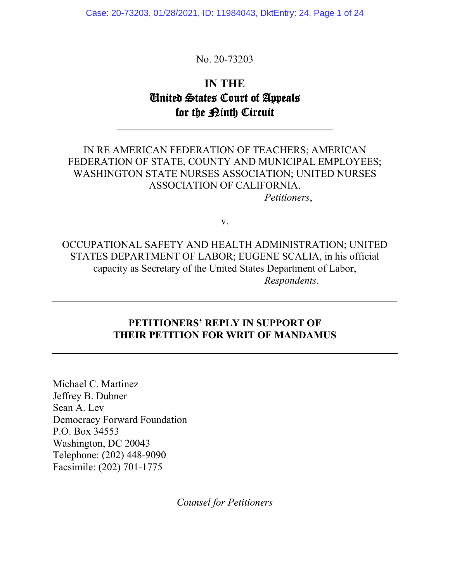Case: 20-73203, 01/28/2021, ID: 11984043, DktEntry: 24, Page 1 of 24

No. 20-73203

# **IN THE** United States Court of Appeals for the <u>Pinth</u> Circuit

\_\_\_\_\_\_\_\_\_\_\_\_\_\_\_\_\_\_\_\_\_\_\_\_\_\_\_\_\_\_\_\_\_\_\_\_\_\_\_\_\_\_

## IN RE AMERICAN FEDERATION OF TEACHERS; AMERICAN FEDERATION OF STATE, COUNTY AND MUNICIPAL EMPLOYEES; WASHINGTON STATE NURSES ASSOCIATION; UNITED NURSES ASSOCIATION OF CALIFORNIA. *Petitioners*,

v.

OCCUPATIONAL SAFETY AND HEALTH ADMINISTRATION; UNITED STATES DEPARTMENT OF LABOR; EUGENE SCALIA, in his official capacity as Secretary of the United States Department of Labor, *Respondents*.

## **PETITIONERS' REPLY IN SUPPORT OF THEIR PETITION FOR WRIT OF MANDAMUS**

Michael C. Martinez Jeffrey B. Dubner Sean A. Lev Democracy Forward Foundation P.O. Box 34553 Washington, DC 20043 Telephone: (202) 448-9090 Facsimile: (202) 701-1775

*Counsel for Petitioners*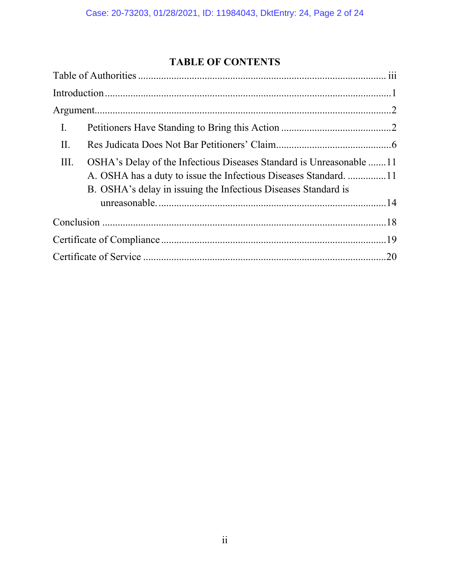# **TABLE OF CONTENTS**

| $\mathbf{I}$ .                                                                                                                                                                                                    |  |
|-------------------------------------------------------------------------------------------------------------------------------------------------------------------------------------------------------------------|--|
| II.                                                                                                                                                                                                               |  |
| OSHA's Delay of the Infectious Diseases Standard is Unreasonable 11<br>III.<br>A. OSHA has a duty to issue the Infectious Diseases Standard. 11<br>B. OSHA's delay in issuing the Infectious Diseases Standard is |  |
|                                                                                                                                                                                                                   |  |
|                                                                                                                                                                                                                   |  |
|                                                                                                                                                                                                                   |  |
|                                                                                                                                                                                                                   |  |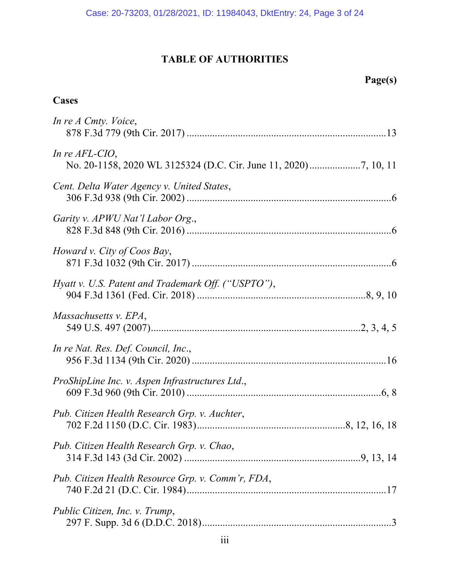# **TABLE OF AUTHORITIES**

# **Page(s)**

# **Cases**

| In re A Cmty. Voice,                               |
|----------------------------------------------------|
| In re AFL-CIO,                                     |
| Cent. Delta Water Agency v. United States,         |
| Garity v. APWU Nat'l Labor Org.,                   |
| Howard v. City of Coos Bay,                        |
| Hyatt v. U.S. Patent and Trademark Off. ("USPTO"), |
| Massachusetts v. EPA,                              |
| In re Nat. Res. Def. Council, Inc.,                |
| ProShipLine Inc. v. Aspen Infrastructures Ltd.,    |
| Pub. Citizen Health Research Grp. v. Auchter,      |
| Pub. Citizen Health Research Grp. v. Chao,         |
| Pub. Citizen Health Resource Grp. v. Comm'r, FDA,  |
| Public Citizen, Inc. v. Trump,                     |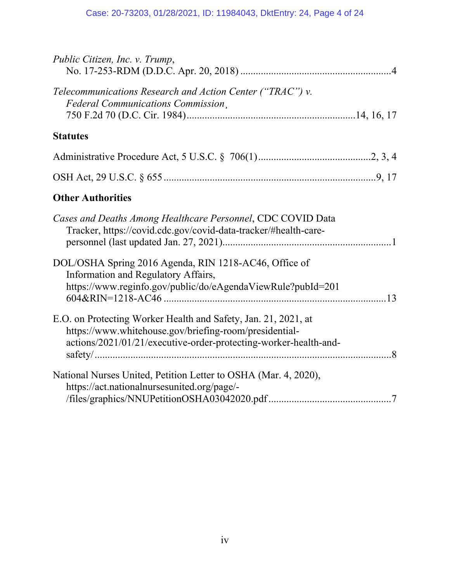| Public Citizen, Inc. v. Trump,                                                                                                                                                               |
|----------------------------------------------------------------------------------------------------------------------------------------------------------------------------------------------|
| Telecommunications Research and Action Center ("TRAC") v.<br><b>Federal Communications Commission,</b>                                                                                       |
| <b>Statutes</b>                                                                                                                                                                              |
|                                                                                                                                                                                              |
|                                                                                                                                                                                              |
| <b>Other Authorities</b>                                                                                                                                                                     |
| Cases and Deaths Among Healthcare Personnel, CDC COVID Data<br>Tracker, https://covid.cdc.gov/covid-data-tracker/#health-care-                                                               |
| DOL/OSHA Spring 2016 Agenda, RIN 1218-AC46, Office of<br>Information and Regulatory Affairs,<br>https://www.reginfo.gov/public/do/eAgendaViewRule?pubId=201                                  |
| E.O. on Protecting Worker Health and Safety, Jan. 21, 2021, at<br>https://www.whitehouse.gov/briefing-room/presidential-<br>actions/2021/01/21/executive-order-protecting-worker-health-and- |
| National Nurses United, Petition Letter to OSHA (Mar. 4, 2020),                                                                                                                              |
| https://act.nationalnursesunited.org/page/-                                                                                                                                                  |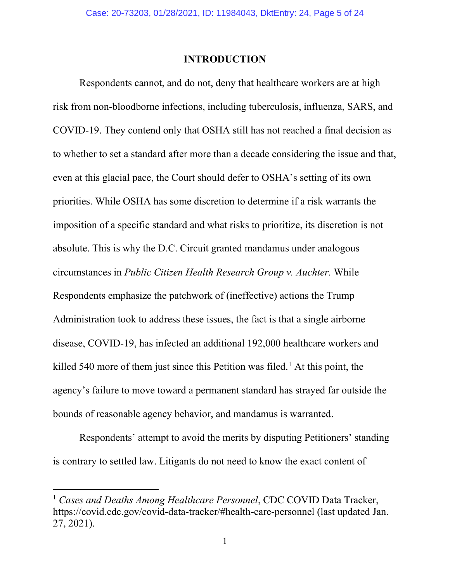### **INTRODUCTION**

Respondents cannot, and do not, deny that healthcare workers are at high risk from non-bloodborne infections, including tuberculosis, influenza, SARS, and COVID-19. They contend only that OSHA still has not reached a final decision as to whether to set a standard after more than a decade considering the issue and that, even at this glacial pace, the Court should defer to OSHA's setting of its own priorities. While OSHA has some discretion to determine if a risk warrants the imposition of a specific standard and what risks to prioritize, its discretion is not absolute. This is why the D.C. Circuit granted mandamus under analogous circumstances in *Public Citizen Health Research Group v. Auchter.* While Respondents emphasize the patchwork of (ineffective) actions the Trump Administration took to address these issues, the fact is that a single airborne disease, COVID-19, has infected an additional 192,000 healthcare workers and killed 540 more of them just since this Petition was filed.<sup>[1](#page-4-1)</sup> At this point, the agency's failure to move toward a permanent standard has strayed far outside the bounds of reasonable agency behavior, and mandamus is warranted.

Respondents' attempt to avoid the merits by disputing Petitioners' standing is contrary to settled law. Litigants do not need to know the exact content of

<span id="page-4-1"></span><span id="page-4-0"></span><sup>1</sup> *Cases and Deaths Among Healthcare Personnel*, CDC COVID Data Tracker, https://covid.cdc.gov/covid-data-tracker/#health-care-personnel (last updated Jan. 27, 2021).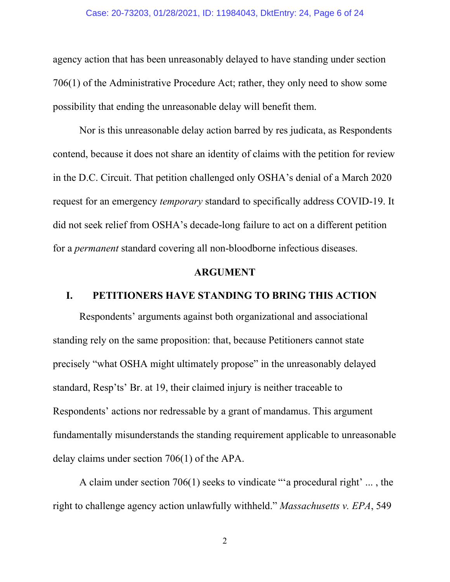#### Case: 20-73203, 01/28/2021, ID: 11984043, DktEntry: 24, Page 6 of 24

agency action that has been unreasonably delayed to have standing under section 706(1) of the Administrative Procedure Act; rather, they only need to show some possibility that ending the unreasonable delay will benefit them.

Nor is this unreasonable delay action barred by res judicata, as Respondents contend, because it does not share an identity of claims with the petition for review in the D.C. Circuit. That petition challenged only OSHA's denial of a March 2020 request for an emergency *temporary* standard to specifically address COVID-19. It did not seek relief from OSHA's decade-long failure to act on a different petition for a *permanent* standard covering all non-bloodborne infectious diseases.

#### <span id="page-5-1"></span>**ARGUMENT**

### **I. PETITIONERS HAVE STANDING TO BRING THIS ACTION**

Respondents' arguments against both organizational and associational standing rely on the same proposition: that, because Petitioners cannot state precisely "what OSHA might ultimately propose" in the unreasonably delayed standard, Resp'ts' Br. at 19, their claimed injury is neither traceable to Respondents' actions nor redressable by a grant of mandamus. This argument fundamentally misunderstands the standing requirement applicable to unreasonable delay claims under section 706(1) of the APA.

<span id="page-5-0"></span>A claim under section 706(1) seeks to vindicate "'a procedural right' ... , the right to challenge agency action unlawfully withheld." *Massachusetts v. EPA*, 549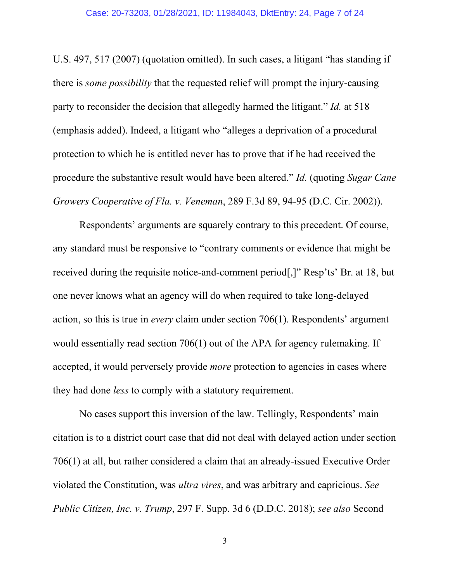<span id="page-6-0"></span>U.S. 497, 517 (2007) (quotation omitted). In such cases, a litigant "has standing if there is *some possibility* that the requested relief will prompt the injury-causing party to reconsider the decision that allegedly harmed the litigant." *Id.* at 518 (emphasis added). Indeed, a litigant who "alleges a deprivation of a procedural protection to which he is entitled never has to prove that if he had received the procedure the substantive result would have been altered." *Id.* (quoting *Sugar Cane Growers Cooperative of Fla. v. Veneman*, 289 F.3d 89, 94-95 (D.C. Cir. 2002)).

<span id="page-6-2"></span>Respondents' arguments are squarely contrary to this precedent. Of course, any standard must be responsive to "contrary comments or evidence that might be received during the requisite notice-and-comment period[,]" Resp'ts' Br. at 18, but one never knows what an agency will do when required to take long-delayed action, so this is true in *every* claim under section 706(1). Respondents' argument would essentially read section 706(1) out of the APA for agency rulemaking. If accepted, it would perversely provide *more* protection to agencies in cases where they had done *less* to comply with a statutory requirement.

<span id="page-6-1"></span>No cases support this inversion of the law. Tellingly, Respondents' main citation is to a district court case that did not deal with delayed action under section 706(1) at all, but rather considered a claim that an already-issued Executive Order violated the Constitution, was *ultra vires*, and was arbitrary and capricious. *See Public Citizen, Inc. v. Trump*, 297 F. Supp. 3d 6 (D.D.C. 2018); *see also* Second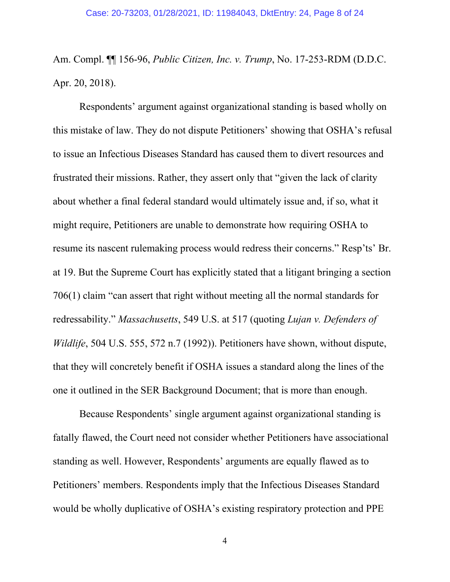<span id="page-7-1"></span>Am. Compl. ¶¶ 156-96, *Public Citizen, Inc. v. Trump*, No. 17-253-RDM (D.D.C. Apr. 20, 2018).

Respondents' argument against organizational standing is based wholly on this mistake of law. They do not dispute Petitioners' showing that OSHA's refusal to issue an Infectious Diseases Standard has caused them to divert resources and frustrated their missions. Rather, they assert only that "given the lack of clarity about whether a final federal standard would ultimately issue and, if so, what it might require, Petitioners are unable to demonstrate how requiring OSHA to resume its nascent rulemaking process would redress their concerns." Resp'ts' Br. at 19. But the Supreme Court has explicitly stated that a litigant bringing a section 706(1) claim "can assert that right without meeting all the normal standards for redressability." *Massachusetts*, 549 U.S. at 517 (quoting *Lujan v. Defenders of Wildlife*, 504 U.S. 555, 572 n.7 (1992)). Petitioners have shown, without dispute, that they will concretely benefit if OSHA issues a standard along the lines of the one it outlined in the SER Background Document; that is more than enough.

<span id="page-7-2"></span><span id="page-7-0"></span>Because Respondents' single argument against organizational standing is fatally flawed, the Court need not consider whether Petitioners have associational standing as well. However, Respondents' arguments are equally flawed as to Petitioners' members. Respondents imply that the Infectious Diseases Standard would be wholly duplicative of OSHA's existing respiratory protection and PPE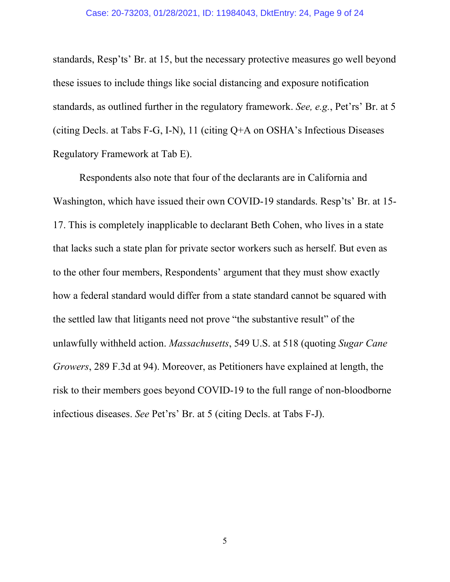standards, Resp'ts' Br. at 15, but the necessary protective measures go well beyond these issues to include things like social distancing and exposure notification standards, as outlined further in the regulatory framework. *See, e.g.*, Pet'rs' Br. at 5 (citing Decls. at Tabs F-G, I-N), 11 (citing Q+A on OSHA's Infectious Diseases Regulatory Framework at Tab E).

<span id="page-8-0"></span>Respondents also note that four of the declarants are in California and Washington, which have issued their own COVID-19 standards. Resp'ts' Br. at 15- 17. This is completely inapplicable to declarant Beth Cohen, who lives in a state that lacks such a state plan for private sector workers such as herself. But even as to the other four members, Respondents' argument that they must show exactly how a federal standard would differ from a state standard cannot be squared with the settled law that litigants need not prove "the substantive result" of the unlawfully withheld action. *Massachusetts*, 549 U.S. at 518 (quoting *Sugar Cane Growers*, 289 F.3d at 94). Moreover, as Petitioners have explained at length, the risk to their members goes beyond COVID-19 to the full range of non-bloodborne infectious diseases. *See* Pet'rs' Br. at 5 (citing Decls. at Tabs F-J).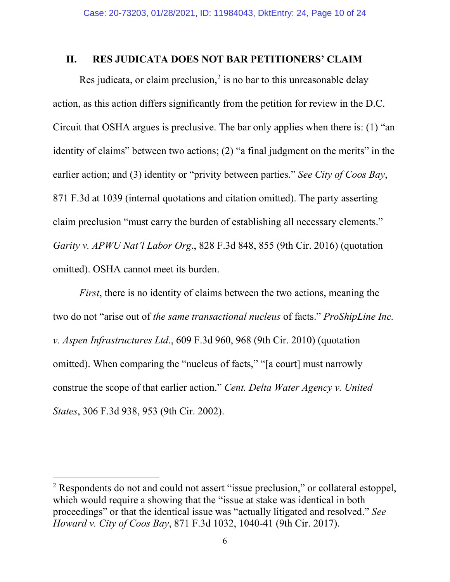### **II. RES JUDICATA DOES NOT BAR PETITIONERS' CLAIM**

Res judicata, or claim preclusion, $2$  is no bar to this unreasonable delay action, as this action differs significantly from the petition for review in the D.C. Circuit that OSHA argues is preclusive. The bar only applies when there is: (1) "an identity of claims" between two actions; (2) "a final judgment on the merits" in the earlier action; and (3) identity or "privity between parties." *See City of Coos Bay*, 871 F.3d at 1039 (internal quotations and citation omitted). The party asserting claim preclusion "must carry the burden of establishing all necessary elements." *Garity v. APWU Nat'l Labor Org*., 828 F.3d 848, 855 (9th Cir. 2016) (quotation omitted). OSHA cannot meet its burden.

<span id="page-9-3"></span><span id="page-9-1"></span><span id="page-9-0"></span>*First*, there is no identity of claims between the two actions, meaning the two do not "arise out of *the same transactional nucleus* of facts." *ProShipLine Inc. v. Aspen Infrastructures Ltd*., 609 F.3d 960, 968 (9th Cir. 2010) (quotation omitted). When comparing the "nucleus of facts," "[a court] must narrowly construe the scope of that earlier action." *Cent. Delta Water Agency v. United States*, 306 F.3d 938, 953 (9th Cir. 2002).

<span id="page-9-4"></span><span id="page-9-2"></span><sup>&</sup>lt;sup>2</sup> Respondents do not and could not assert "issue preclusion," or collateral estoppel, which would require a showing that the "issue at stake was identical in both proceedings" or that the identical issue was "actually litigated and resolved." *See Howard v. City of Coos Bay*, 871 F.3d 1032, 1040-41 (9th Cir. 2017).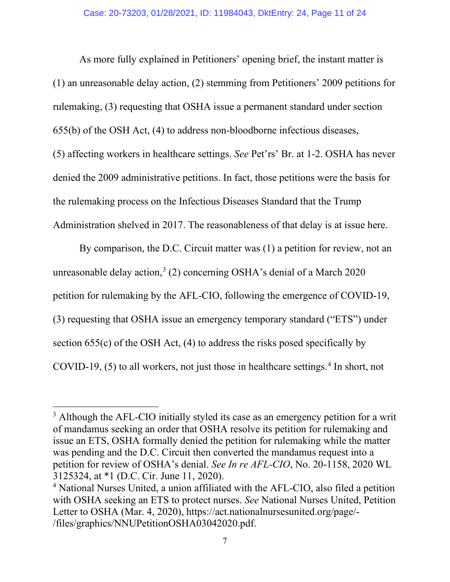As more fully explained in Petitioners' opening brief, the instant matter is (1) an unreasonable delay action, (2) stemming from Petitioners' 2009 petitions for rulemaking, (3) requesting that OSHA issue a permanent standard under section 655(b) of the OSH Act, (4) to address non-bloodborne infectious diseases, (5) affecting workers in healthcare settings. *See* Pet'rs' Br. at 1-2. OSHA has never denied the 2009 administrative petitions. In fact, those petitions were the basis for the rulemaking process on the Infectious Diseases Standard that the Trump Administration shelved in 2017. The reasonableness of that delay is at issue here.

By comparison, the D.C. Circuit matter was (1) a petition for review, not an unreasonable delay action,<sup>[3](#page-10-2)</sup> (2) concerning OSHA's denial of a March 2020 petition for rulemaking by the AFL-CIO, following the emergence of COVID-19, (3) requesting that OSHA issue an emergency temporary standard ("ETS") under section 655(c) of the OSH Act, (4) to address the risks posed specifically by COVID-19, (5) to all workers, not just those in healthcare settings. [4](#page-10-3) In short, not

<span id="page-10-2"></span><sup>&</sup>lt;sup>3</sup> Although the AFL-CIO initially styled its case as an emergency petition for a writ of mandamus seeking an order that OSHA resolve its petition for rulemaking and issue an ETS, OSHA formally denied the petition for rulemaking while the matter was pending and the D.C. Circuit then converted the mandamus request into a petition for review of OSHA's denial. *See In re AFL-CIO*, No. 20-1158, 2020 WL 3125324, at \*1 (D.C. Cir. June 11, 2020).

<span id="page-10-3"></span><span id="page-10-1"></span><span id="page-10-0"></span><sup>4</sup> National Nurses United, a union affiliated with the AFL-CIO, also filed a petition with OSHA seeking an ETS to protect nurses. *See* National Nurses United, Petition Letter to OSHA (Mar. 4, 2020), https://act.nationalnursesunited.org/page/- /files/graphics/NNUPetitionOSHA03042020.pdf.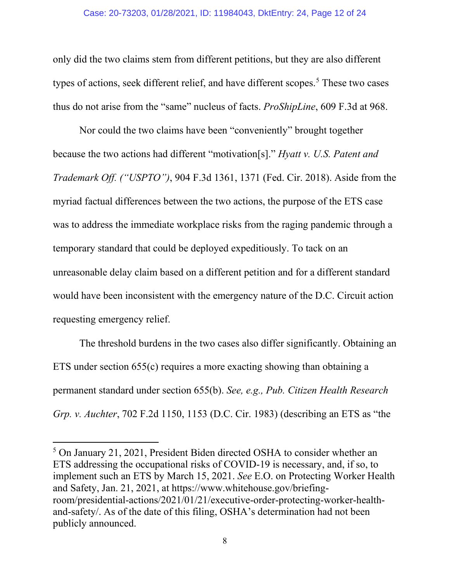#### <span id="page-11-1"></span>Case: 20-73203, 01/28/2021, ID: 11984043, DktEntry: 24, Page 12 of 24

only did the two claims stem from different petitions, but they are also different types of actions, seek different relief, and have different scopes.<sup>[5](#page-11-4)</sup> These two cases thus do not arise from the "same" nucleus of facts. *ProShipLine*, 609 F.3d at 968.

<span id="page-11-0"></span>Nor could the two claims have been "conveniently" brought together because the two actions had different "motivation[s]." *Hyatt v. U.S. Patent and Trademark Off. ("USPTO")*, 904 F.3d 1361, 1371 (Fed. Cir. 2018). Aside from the myriad factual differences between the two actions, the purpose of the ETS case was to address the immediate workplace risks from the raging pandemic through a temporary standard that could be deployed expeditiously. To tack on an unreasonable delay claim based on a different petition and for a different standard would have been inconsistent with the emergency nature of the D.C. Circuit action requesting emergency relief.

<span id="page-11-2"></span>The threshold burdens in the two cases also differ significantly. Obtaining an ETS under section 655(c) requires a more exacting showing than obtaining a permanent standard under section 655(b). *See, e.g., Pub. Citizen Health Research Grp. v. Auchter*, 702 F.2d 1150, 1153 (D.C. Cir. 1983) (describing an ETS as "the

<span id="page-11-4"></span><span id="page-11-3"></span><sup>5</sup> On January 21, 2021, President Biden directed OSHA to consider whether an ETS addressing the occupational risks of COVID-19 is necessary, and, if so, to implement such an ETS by March 15, 2021. *See* E.O. on Protecting Worker Health and Safety, Jan. 21, 2021, at https://www.whitehouse.gov/briefingroom/presidential-actions/2021/01/21/executive-order-protecting-worker-healthand-safety/. As of the date of this filing, OSHA's determination had not been publicly announced.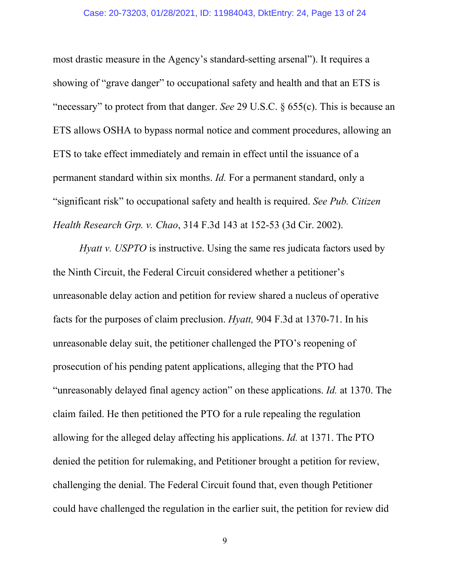<span id="page-12-2"></span>most drastic measure in the Agency's standard-setting arsenal"). It requires a showing of "grave danger" to occupational safety and health and that an ETS is "necessary" to protect from that danger. *See* 29 U.S.C. § 655(c). This is because an ETS allows OSHA to bypass normal notice and comment procedures, allowing an ETS to take effect immediately and remain in effect until the issuance of a permanent standard within six months. *Id.* For a permanent standard, only a "significant risk" to occupational safety and health is required. *See Pub. Citizen Health Research Grp. v. Chao*, 314 F.3d 143 at 152-53 (3d Cir. 2002).

<span id="page-12-1"></span><span id="page-12-0"></span>*Hyatt v. USPTO* is instructive. Using the same res judicata factors used by the Ninth Circuit, the Federal Circuit considered whether a petitioner's unreasonable delay action and petition for review shared a nucleus of operative facts for the purposes of claim preclusion. *Hyatt,* 904 F.3d at 1370-71. In his unreasonable delay suit, the petitioner challenged the PTO's reopening of prosecution of his pending patent applications, alleging that the PTO had "unreasonably delayed final agency action" on these applications. *Id.* at 1370. The claim failed. He then petitioned the PTO for a rule repealing the regulation allowing for the alleged delay affecting his applications. *Id.* at 1371. The PTO denied the petition for rulemaking, and Petitioner brought a petition for review, challenging the denial. The Federal Circuit found that, even though Petitioner could have challenged the regulation in the earlier suit, the petition for review did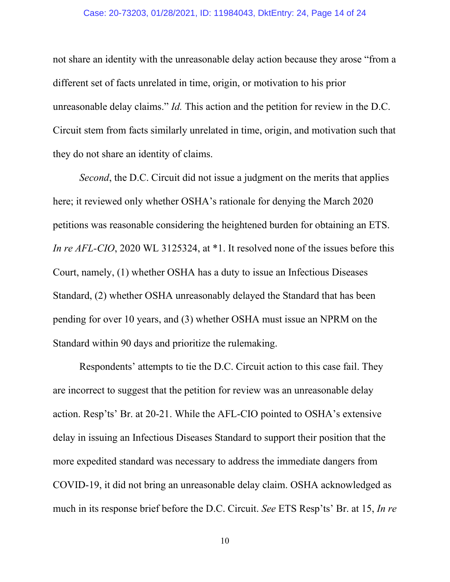#### <span id="page-13-1"></span>Case: 20-73203, 01/28/2021, ID: 11984043, DktEntry: 24, Page 14 of 24

not share an identity with the unreasonable delay action because they arose "from a different set of facts unrelated in time, origin, or motivation to his prior unreasonable delay claims." *Id.* This action and the petition for review in the D.C. Circuit stem from facts similarly unrelated in time, origin, and motivation such that they do not share an identity of claims.

<span id="page-13-0"></span>*Second*, the D.C. Circuit did not issue a judgment on the merits that applies here; it reviewed only whether OSHA's rationale for denying the March 2020 petitions was reasonable considering the heightened burden for obtaining an ETS. *In re AFL-CIO*, 2020 WL 3125324, at \*1. It resolved none of the issues before this Court, namely, (1) whether OSHA has a duty to issue an Infectious Diseases Standard, (2) whether OSHA unreasonably delayed the Standard that has been pending for over 10 years, and (3) whether OSHA must issue an NPRM on the Standard within 90 days and prioritize the rulemaking.

Respondents' attempts to tie the D.C. Circuit action to this case fail. They are incorrect to suggest that the petition for review was an unreasonable delay action. Resp'ts' Br. at 20-21. While the AFL-CIO pointed to OSHA's extensive delay in issuing an Infectious Diseases Standard to support their position that the more expedited standard was necessary to address the immediate dangers from COVID-19, it did not bring an unreasonable delay claim. OSHA acknowledged as much in its response brief before the D.C. Circuit. *See* ETS Resp'ts' Br. at 15, *In re*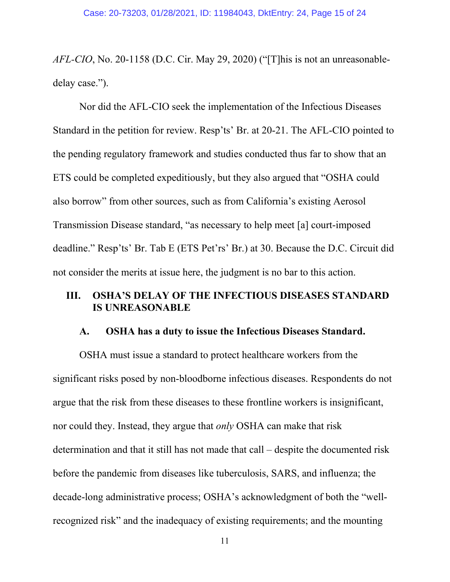*AFL-CIO*, No. 20-1158 (D.C. Cir. May 29, 2020) ("[T]his is not an unreasonabledelay case.").

Nor did the AFL-CIO seek the implementation of the Infectious Diseases Standard in the petition for review. Resp'ts' Br. at 20-21. The AFL-CIO pointed to the pending regulatory framework and studies conducted thus far to show that an ETS could be completed expeditiously, but they also argued that "OSHA could also borrow" from other sources, such as from California's existing Aerosol Transmission Disease standard, "as necessary to help meet [a] court-imposed deadline." Resp'ts' Br. Tab E (ETS Pet'rs' Br.) at 30. Because the D.C. Circuit did not consider the merits at issue here, the judgment is no bar to this action.

## **III. OSHA'S DELAY OF THE INFECTIOUS DISEASES STANDARD IS UNREASONABLE**

### **A. OSHA has a duty to issue the Infectious Diseases Standard.**

OSHA must issue a standard to protect healthcare workers from the significant risks posed by non-bloodborne infectious diseases. Respondents do not argue that the risk from these diseases to these frontline workers is insignificant, nor could they. Instead, they argue that *only* OSHA can make that risk determination and that it still has not made that call – despite the documented risk before the pandemic from diseases like tuberculosis, SARS, and influenza; the decade-long administrative process; OSHA's acknowledgment of both the "wellrecognized risk" and the inadequacy of existing requirements; and the mounting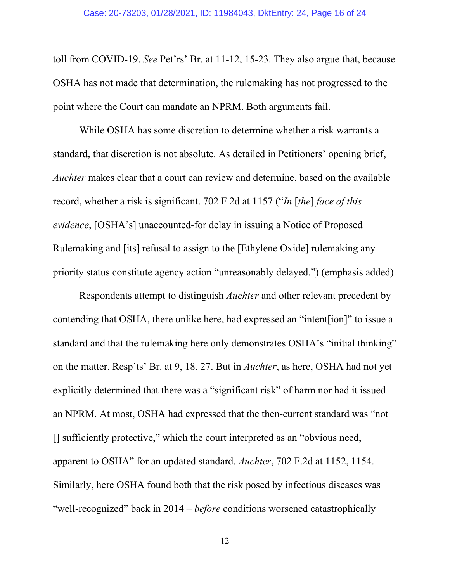toll from COVID-19. *See* Pet'rs' Br. at 11-12, 15-23. They also argue that, because OSHA has not made that determination, the rulemaking has not progressed to the point where the Court can mandate an NPRM. Both arguments fail.

<span id="page-15-0"></span>While OSHA has some discretion to determine whether a risk warrants a standard, that discretion is not absolute. As detailed in Petitioners' opening brief, *Auchter* makes clear that a court can review and determine, based on the available record, whether a risk is significant. 702 F.2d at 1157 ("*In* [*the*] *face of this evidence*, [OSHA's] unaccounted-for delay in issuing a Notice of Proposed Rulemaking and [its] refusal to assign to the [Ethylene Oxide] rulemaking any priority status constitute agency action "unreasonably delayed.") (emphasis added).

Respondents attempt to distinguish *Auchter* and other relevant precedent by contending that OSHA, there unlike here, had expressed an "intent[ion]" to issue a standard and that the rulemaking here only demonstrates OSHA's "initial thinking" on the matter. Resp'ts' Br. at 9, 18, 27. But in *Auchter*, as here, OSHA had not yet explicitly determined that there was a "significant risk" of harm nor had it issued an NPRM. At most, OSHA had expressed that the then-current standard was "not [] sufficiently protective," which the court interpreted as an "obvious need, apparent to OSHA" for an updated standard. *Auchter*, 702 F.2d at 1152, 1154. Similarly, here OSHA found both that the risk posed by infectious diseases was "well-recognized" back in 2014 – *before* conditions worsened catastrophically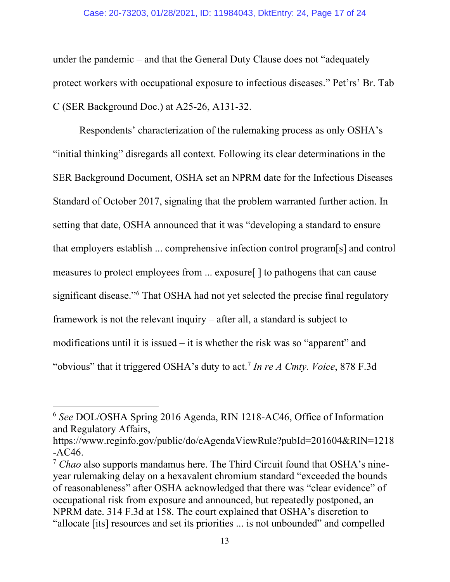#### Case: 20-73203, 01/28/2021, ID: 11984043, DktEntry: 24, Page 17 of 24

under the pandemic – and that the General Duty Clause does not "adequately protect workers with occupational exposure to infectious diseases." Pet'rs' Br. Tab C (SER Background Doc.) at A25-26, A131-32.

Respondents' characterization of the rulemaking process as only OSHA's "initial thinking" disregards all context. Following its clear determinations in the SER Background Document, OSHA set an NPRM date for the Infectious Diseases Standard of October 2017, signaling that the problem warranted further action. In setting that date, OSHA announced that it was "developing a standard to ensure that employers establish ... comprehensive infection control program[s] and control measures to protect employees from ... exposure[ ] to pathogens that can cause significant disease."[6](#page-16-3) That OSHA had not yet selected the precise final regulatory framework is not the relevant inquiry – after all, a standard is subject to modifications until it is issued  $-$  it is whether the risk was so "apparent" and "obvious" that it triggered OSHA's duty to act.[7](#page-16-4) *In re A Cmty. Voice*, 878 F.3d

<span id="page-16-3"></span><span id="page-16-2"></span><span id="page-16-0"></span><sup>6</sup> *See* DOL/OSHA Spring 2016 Agenda, RIN 1218-AC46, Office of Information and Regulatory Affairs,

https://www.reginfo.gov/public/do/eAgendaViewRule?pubId=201604&RIN=1218 -AC46.

<span id="page-16-4"></span><span id="page-16-1"></span><sup>7</sup> *Chao* also supports mandamus here. The Third Circuit found that OSHA's nineyear rulemaking delay on a hexavalent chromium standard "exceeded the bounds of reasonableness" after OSHA acknowledged that there was "clear evidence" of occupational risk from exposure and announced, but repeatedly postponed, an NPRM date. 314 F.3d at 158. The court explained that OSHA's discretion to "allocate [its] resources and set its priorities ... is not unbounded" and compelled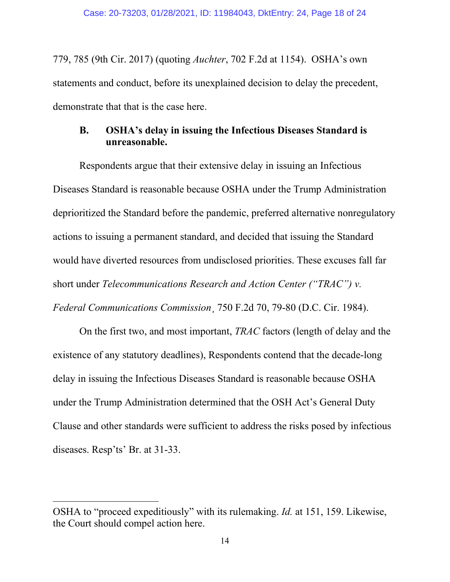779, 785 (9th Cir. 2017) (quoting *Auchter*, 702 F.2d at 1154). OSHA's own statements and conduct, before its unexplained decision to delay the precedent, demonstrate that that is the case here.

## **B. OSHA's delay in issuing the Infectious Diseases Standard is unreasonable.**

Respondents argue that their extensive delay in issuing an Infectious Diseases Standard is reasonable because OSHA under the Trump Administration deprioritized the Standard before the pandemic, preferred alternative nonregulatory actions to issuing a permanent standard, and decided that issuing the Standard would have diverted resources from undisclosed priorities. These excuses fall far short under *Telecommunications Research and Action Center ("TRAC") v. Federal Communications Commission*¸ 750 F.2d 70, 79-80 (D.C. Cir. 1984).

<span id="page-17-1"></span>On the first two, and most important, *TRAC* factors (length of delay and the existence of any statutory deadlines), Respondents contend that the decade-long delay in issuing the Infectious Diseases Standard is reasonable because OSHA under the Trump Administration determined that the OSH Act's General Duty Clause and other standards were sufficient to address the risks posed by infectious diseases. Resp'ts' Br. at 31-33.

<span id="page-17-0"></span>OSHA to "proceed expeditiously" with its rulemaking. *Id.* at 151, 159. Likewise, the Court should compel action here.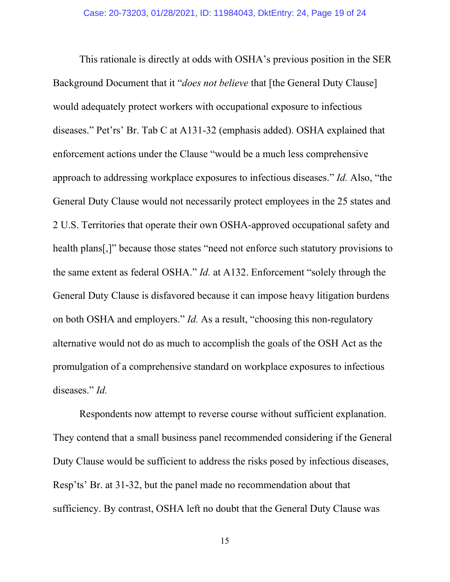This rationale is directly at odds with OSHA's previous position in the SER Background Document that it "*does not believe* that [the General Duty Clause] would adequately protect workers with occupational exposure to infectious diseases." Pet'rs' Br. Tab C at A131-32 (emphasis added). OSHA explained that enforcement actions under the Clause "would be a much less comprehensive approach to addressing workplace exposures to infectious diseases." *Id.* Also, "the General Duty Clause would not necessarily protect employees in the 25 states and 2 U.S. Territories that operate their own OSHA-approved occupational safety and health plans[,]" because those states "need not enforce such statutory provisions to the same extent as federal OSHA." *Id.* at A132. Enforcement "solely through the General Duty Clause is disfavored because it can impose heavy litigation burdens on both OSHA and employers." *Id.* As a result, "choosing this non-regulatory alternative would not do as much to accomplish the goals of the OSH Act as the promulgation of a comprehensive standard on workplace exposures to infectious diseases." *Id.* 

Respondents now attempt to reverse course without sufficient explanation. They contend that a small business panel recommended considering if the General Duty Clause would be sufficient to address the risks posed by infectious diseases, Resp'ts' Br. at 31-32, but the panel made no recommendation about that sufficiency. By contrast, OSHA left no doubt that the General Duty Clause was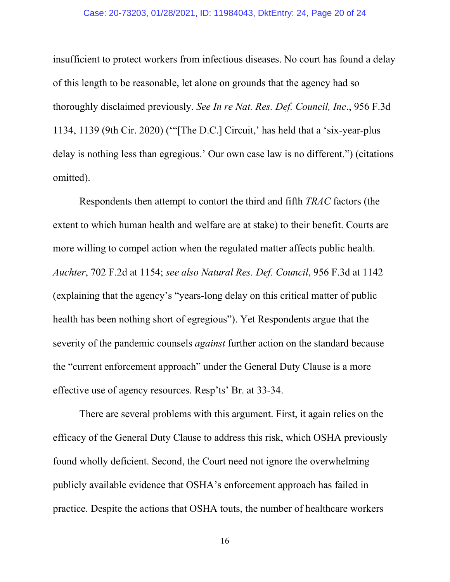#### <span id="page-19-0"></span>Case: 20-73203, 01/28/2021, ID: 11984043, DktEntry: 24, Page 20 of 24

insufficient to protect workers from infectious diseases. No court has found a delay of this length to be reasonable, let alone on grounds that the agency had so thoroughly disclaimed previously. *See In re Nat. Res. Def. Council, Inc*., 956 F.3d 1134, 1139 (9th Cir. 2020) ('"[The D.C.] Circuit,' has held that a 'six-year-plus delay is nothing less than egregious.' Our own case law is no different.") (citations omitted).

<span id="page-19-2"></span><span id="page-19-1"></span>Respondents then attempt to contort the third and fifth *TRAC* factors (the extent to which human health and welfare are at stake) to their benefit. Courts are more willing to compel action when the regulated matter affects public health. *Auchter*, 702 F.2d at 1154; *see also Natural Res. Def. Council*, 956 F.3d at 1142 (explaining that the agency's "years-long delay on this critical matter of public health has been nothing short of egregious"). Yet Respondents argue that the severity of the pandemic counsels *against* further action on the standard because the "current enforcement approach" under the General Duty Clause is a more effective use of agency resources. Resp'ts' Br. at 33-34.

There are several problems with this argument. First, it again relies on the efficacy of the General Duty Clause to address this risk, which OSHA previously found wholly deficient. Second, the Court need not ignore the overwhelming publicly available evidence that OSHA's enforcement approach has failed in practice. Despite the actions that OSHA touts, the number of healthcare workers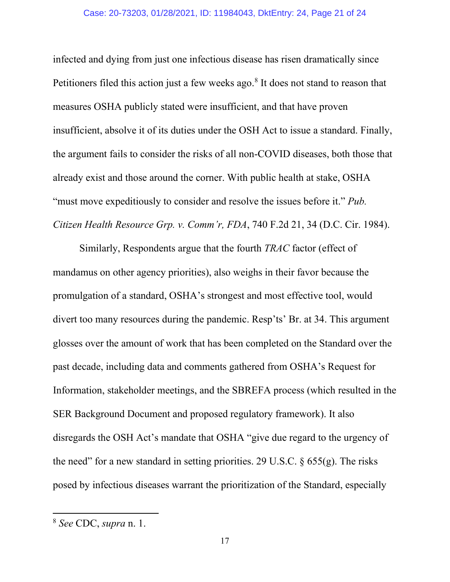#### Case: 20-73203, 01/28/2021, ID: 11984043, DktEntry: 24, Page 21 of 24

infected and dying from just one infectious disease has risen dramatically since Petitioners filed this action just a few weeks ago.<sup>[8](#page-20-2)</sup> It does not stand to reason that measures OSHA publicly stated were insufficient, and that have proven insufficient, absolve it of its duties under the OSH Act to issue a standard. Finally, the argument fails to consider the risks of all non-COVID diseases, both those that already exist and those around the corner. With public health at stake, OSHA "must move expeditiously to consider and resolve the issues before it." *Pub. Citizen Health Resource Grp. v. Comm'r, FDA*, 740 F.2d 21, 34 (D.C. Cir. 1984).

<span id="page-20-1"></span><span id="page-20-0"></span>Similarly, Respondents argue that the fourth *TRAC* factor (effect of mandamus on other agency priorities), also weighs in their favor because the promulgation of a standard, OSHA's strongest and most effective tool, would divert too many resources during the pandemic. Resp'ts' Br. at 34. This argument glosses over the amount of work that has been completed on the Standard over the past decade, including data and comments gathered from OSHA's Request for Information, stakeholder meetings, and the SBREFA process (which resulted in the SER Background Document and proposed regulatory framework). It also disregards the OSH Act's mandate that OSHA "give due regard to the urgency of the need" for a new standard in setting priorities. 29 U.S.C.  $\delta$  655(g). The risks posed by infectious diseases warrant the prioritization of the Standard, especially

<span id="page-20-2"></span><sup>8</sup> *See* CDC, *supra* n. 1.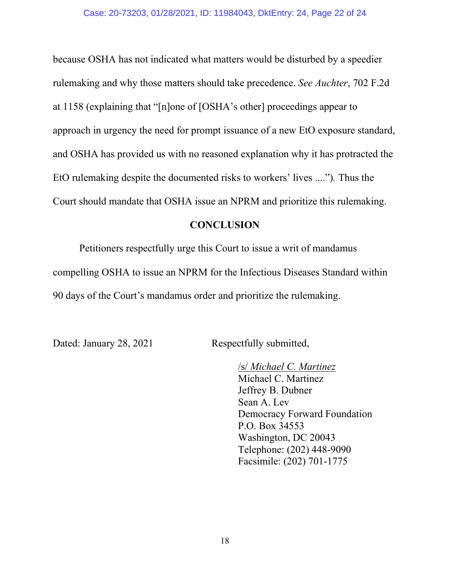because OSHA has not indicated what matters would be disturbed by a speedier rulemaking and why those matters should take precedence. *See Auchter*, 702 F.2d at 1158 (explaining that "[n]one of [OSHA's other] proceedings appear to approach in urgency the need for prompt issuance of a new EtO exposure standard, and OSHA has provided us with no reasoned explanation why it has protracted the EtO rulemaking despite the documented risks to workers' lives ....")*.* Thus the Court should mandate that OSHA issue an NPRM and prioritize this rulemaking.

### <span id="page-21-0"></span>**CONCLUSION**

Petitioners respectfully urge this Court to issue a writ of mandamus compelling OSHA to issue an NPRM for the Infectious Diseases Standard within 90 days of the Court's mandamus order and prioritize the rulemaking.

Dated: January 28, 2021 Respectfully submitted,

/s/ *Michael C. Martinez* Michael C. Martinez Jeffrey B. Dubner Sean A. Lev Democracy Forward Foundation P.O. Box 34553 Washington, DC 20043 Telephone: (202) 448-9090 Facsimile: (202) 701-1775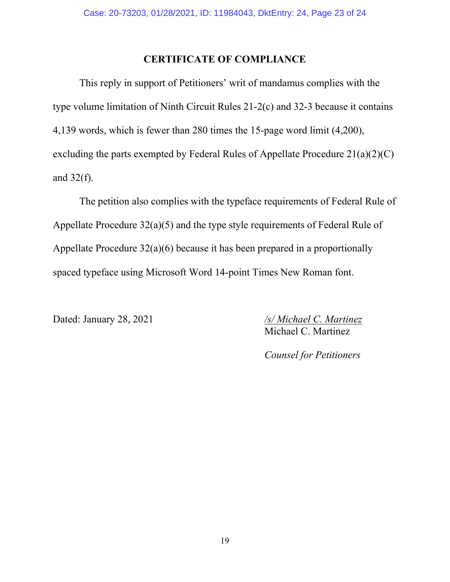## **CERTIFICATE OF COMPLIANCE**

This reply in support of Petitioners' writ of mandamus complies with the type volume limitation of Ninth Circuit Rules 21-2(c) and 32-3 because it contains 4,139 words, which is fewer than 280 times the 15-page word limit (4,200), excluding the parts exempted by Federal Rules of Appellate Procedure 21(a)(2)(C) and  $32(f)$ .

The petition also complies with the typeface requirements of Federal Rule of Appellate Procedure 32(a)(5) and the type style requirements of Federal Rule of Appellate Procedure 32(a)(6) because it has been prepared in a proportionally spaced typeface using Microsoft Word 14-point Times New Roman font.

Dated: January 28, 2021 */s/ Michael C. Martinez* Michael C. Martinez

*Counsel for Petitioners*